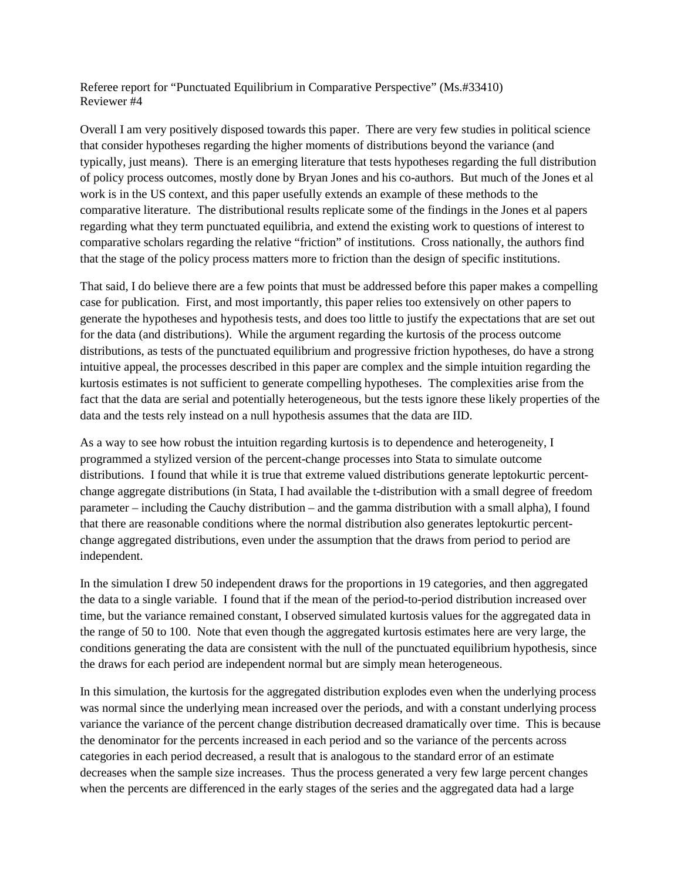Referee report for "Punctuated Equilibrium in Comparative Perspective" (Ms.#33410) Reviewer #4

Overall I am very positively disposed towards this paper. There are very few studies in political science that consider hypotheses regarding the higher moments of distributions beyond the variance (and typically, just means). There is an emerging literature that tests hypotheses regarding the full distribution of policy process outcomes, mostly done by Bryan Jones and his co-authors. But much of the Jones et al work is in the US context, and this paper usefully extends an example of these methods to the comparative literature. The distributional results replicate some of the findings in the Jones et al papers regarding what they term punctuated equilibria, and extend the existing work to questions of interest to comparative scholars regarding the relative "friction" of institutions. Cross nationally, the authors find that the stage of the policy process matters more to friction than the design of specific institutions.

That said, I do believe there are a few points that must be addressed before this paper makes a compelling case for publication. First, and most importantly, this paper relies too extensively on other papers to generate the hypotheses and hypothesis tests, and does too little to justify the expectations that are set out for the data (and distributions). While the argument regarding the kurtosis of the process outcome distributions, as tests of the punctuated equilibrium and progressive friction hypotheses, do have a strong intuitive appeal, the processes described in this paper are complex and the simple intuition regarding the kurtosis estimates is not sufficient to generate compelling hypotheses. The complexities arise from the fact that the data are serial and potentially heterogeneous, but the tests ignore these likely properties of the data and the tests rely instead on a null hypothesis assumes that the data are IID.

As a way to see how robust the intuition regarding kurtosis is to dependence and heterogeneity, I programmed a stylized version of the percent-change processes into Stata to simulate outcome distributions. I found that while it is true that extreme valued distributions generate leptokurtic percentchange aggregate distributions (in Stata, I had available the t-distribution with a small degree of freedom parameter – including the Cauchy distribution – and the gamma distribution with a small alpha), I found that there are reasonable conditions where the normal distribution also generates leptokurtic percentchange aggregated distributions, even under the assumption that the draws from period to period are independent.

In the simulation I drew 50 independent draws for the proportions in 19 categories, and then aggregated the data to a single variable. I found that if the mean of the period-to-period distribution increased over time, but the variance remained constant, I observed simulated kurtosis values for the aggregated data in the range of 50 to 100. Note that even though the aggregated kurtosis estimates here are very large, the conditions generating the data are consistent with the null of the punctuated equilibrium hypothesis, since the draws for each period are independent normal but are simply mean heterogeneous.

In this simulation, the kurtosis for the aggregated distribution explodes even when the underlying process was normal since the underlying mean increased over the periods, and with a constant underlying process variance the variance of the percent change distribution decreased dramatically over time. This is because the denominator for the percents increased in each period and so the variance of the percents across categories in each period decreased, a result that is analogous to the standard error of an estimate decreases when the sample size increases. Thus the process generated a very few large percent changes when the percents are differenced in the early stages of the series and the aggregated data had a large